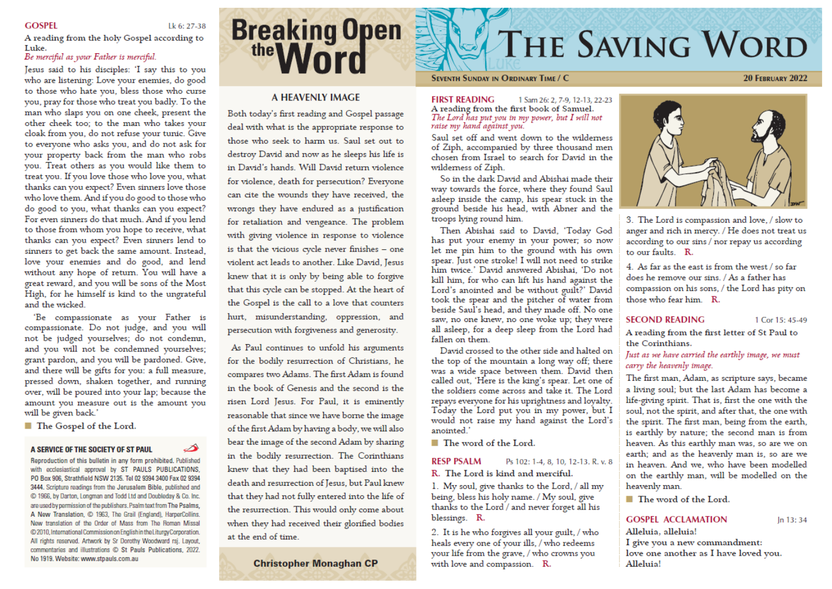## **GOSPEL**

# Lk 6: 27-38

A reading from the holy Gospel according to Luke.

# Be merciful as your Father is merciful.

Jesus said to his disciples: 'I say this to you who are listening: Love your enemies, do good to those who hate you, bless those who curse you, pray for those who treat you badly. To the man who slaps you on one cheek, present the other cheek too: to the man who takes your cloak from you, do not refuse your tunic. Give to everyone who asks you, and do not ask for your property back from the man who robs you. Treat others as you would like them to treat you. If you love those who love you, what thanks can you expect? Even sinners love those who love them. And if you do good to those who do good to you, what thanks can you expect? For even sinners do that much. And if you lend to those from whom you hope to receive, what thanks can you expect? Even sinners lend to sinners to get back the same amount. Instead, love your enemies and do good, and lend without any hope of return. You will have a great reward, and you will be sons of the Most High, for he himself is kind to the ungrateful and the wicked

'Be compassionate as your Father is compassionate. Do not judge, and you will not be judged yourselves; do not condemn, and you will not be condemned yourselves; grant pardon, and you will be pardoned. Give, and there will be gifts for you: a full measure, pressed down, shaken together, and running over, will be poured into your lap; because the amount you measure out is the amount you will be given back.'

■ The Gospel of the Lord.

### A SERVICE OF THE SOCIETY OF ST PAUL

Reproduction of this bulletin in any form prohibited. Published with ecclesiastical approval by ST PAULS PUBLICATIONS, PO Box 906, Strathfield NSW 2135. Tel 02 9394 3400 Fax 02 9394 3444. Scripture readings from the Jerusalem Bible, published and C 1966, by Darton, Longman and Todd Ltd and Doubleday & Co. Inc. are used by permission of the publishers. Psalm text from The Psalms, A New Translation, C 1963, The Grail (England), HarperCollins. New translation of the Order of Mass from The Roman Missal @ 2010, International Commission on English in the Liturgy Corporation. All rights reserved. Artwork by Sr Dorothy Woodward rsj. Layout, commentaries and illustrations C St Pauls Publications, 2022. No 1919. Website: www.stpauls.com.au

# **Breaking Open** the **Word**

# **A HEAVENLY IMAGE**

Both today's first reading and Gospel passage deal with what is the appropriate response to those who seek to harm us. Saul set out to destroy David and now as he sleeps his life is in David's hands. Will David return violence for violence, death for persecution? Everyone can cite the wounds they have received, the wrongs they have endured as a justification for retaliation and vengeance. The problem with giving violence in response to violence is that the vicious cycle never finishes - one violent act leads to another. Like David, Jesus knew that it is only by being able to forgive that this cycle can be stopped. At the heart of the Gospel is the call to a love that counters hurt, misunderstanding, oppression, and persecution with forgiveness and generosity.

As Paul continues to unfold his arguments for the bodily resurrection of Christians, he compares two Adams. The first Adam is found in the book of Genesis and the second is the risen Lord Jesus. For Paul, it is eminently reasonable that since we have borne the image of the first Adam by having a body, we will also bear the image of the second Adam by sharing in the bodily resurrection. The Corinthians knew that they had been baptised into the death and resurrection of Jesus, but Paul knew that they had not fully entered into the life of the resurrection. This would only come about when they had received their glorified bodies at the end of time.

**Christopher Monaghan CP** 

# **THE SAVING WORD**

### **SEVENTH SUNDAY IN ORDINARY TIME / C**

**20 FEBRUARY 2022** 

**FIRST READING** 1 Sam 26: 2, 7-9, 12-13, 22-23 A reading from the first book of Samuel. The Lord has put you in my power, but I will not<br>raise my hand against you.

Saul set off and went down to the wilderness of Ziph, accompanied by three thousand men chosen from Israel to search for David in the wilderness of Ziph.

So in the dark David and Abishai made their way towards the force, where they found Saul asleep inside the camp, his spear stuck in the ground beside his head, with Abner and the troops lying round him.

Then Abishai said to David, 'Today God has put your enemy in your power; so now let me pin him to the ground with his own spear. Just one stroke! I will not need to strike him twice.' David answered Abishai. 'Do not kill him, for who can lift his hand against the Lord's anointed and be without guilt?' David took the spear and the pitcher of water from beside Saul's head, and they made off. No one saw, no one knew, no one woke up; they were all asleep, for a deep sleep from the Lord had fallen on them.

David crossed to the other side and halted on the top of the mountain a long way off; there was a wide space between them. David then called out, 'Here is the king's spear. Let one of the soldiers come across and take it. The Lord repays everyone for his uprightness and loyalty. Today the Lord put you in my power, but I would not raise my hand against the Lord's anointed.'

■ The word of the Lord.

#### **RESP PSALM** Ps 102: 1-4, 8, 10, 12-13, R, v, 8

R. The Lord is kind and merciful.

1. My soul, give thanks to the Lord, / all my being, bless his holy name. / My soul, give thanks to the Lord / and never forget all his blessings. R.

2. It is he who forgives all your guilt, / who heals every one of your ills, / who redeems your life from the grave, / who crowns you with love and compassion. R.



3. The Lord is compassion and love, / slow to anger and rich in mercy. / He does not treat us according to our sins / nor repay us according to our faults  $R$ .

4. As far as the east is from the west / so far does he remove our sins. / As a father has compassion on his sons, / the Lord has pity on those who fear him. R.

## **SECOND READING**

1 Cor 15: 45-49

In 13:34

A reading from the first letter of St Paul to the Corinthians.

# Just as we have carried the earthly image, we must carry the heavenly image.

The first man, Adam, as scripture says, became a living soul; but the last Adam has become a life-giving spirit. That is, first the one with the soul, not the spirit, and after that, the one with the spirit. The first man, being from the earth, is earthly by nature; the second man is from heaven. As this earthly man was, so are we on earth; and as the heavenly man is, so are we in heaven. And we, who have been modelled on the earthly man, will be modelled on the heavenly man.

■ The word of the Lord.

# **GOSPEL ACCLAMATION**

Alleluia, alleluia!

I give you a new commandment: love one another as I have loved you. Alleluia!